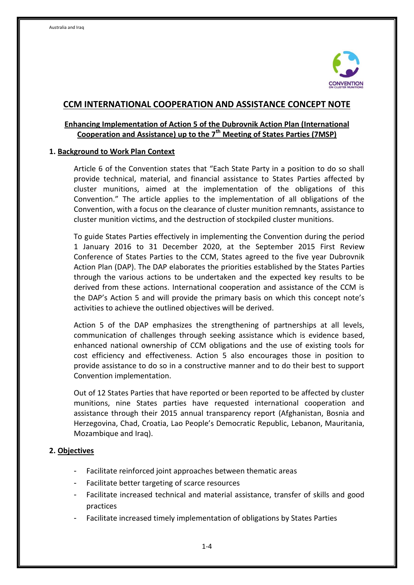

## **CCM INTERNATIONAL COOPERATION AND ASSISTANCE CONCEPT NOTE**

# **Enhancing Implementation of Action 5 of the Dubrovnik Action Plan (International Cooperation and Assistance) up to the 7th Meeting of States Parties (7MSP)**

#### **1. Background to Work Plan Context**

Article 6 of the Convention states that "Each State Party in a position to do so shall provide technical, material, and financial assistance to States Parties affected by cluster munitions, aimed at the implementation of the obligations of this Convention." The article applies to the implementation of all obligations of the Convention, with a focus on the clearance of cluster munition remnants, assistance to cluster munition victims, and the destruction of stockpiled cluster munitions.

To guide States Parties effectively in implementing the Convention during the period 1 January 2016 to 31 December 2020, at the September 2015 First Review Conference of States Parties to the CCM, States agreed to the five year Dubrovnik Action Plan (DAP). The DAP elaborates the priorities established by the States Parties through the various actions to be undertaken and the expected key results to be derived from these actions. International cooperation and assistance of the CCM is the DAP's Action 5 and will provide the primary basis on which this concept note's activities to achieve the outlined objectives will be derived.

Action 5 of the DAP emphasizes the strengthening of partnerships at all levels, communication of challenges through seeking assistance which is evidence based, enhanced national ownership of CCM obligations and the use of existing tools for cost efficiency and effectiveness. Action 5 also encourages those in position to provide assistance to do so in a constructive manner and to do their best to support Convention implementation.

Out of 12 States Parties that have reported or been reported to be affected by cluster munitions, nine States parties have requested international cooperation and assistance through their 2015 annual transparency report (Afghanistan, Bosnia and Herzegovina, Chad, Croatia, Lao People's Democratic Republic, Lebanon, Mauritania, Mozambique and Iraq).

### **2. Objectives**

- Facilitate reinforced joint approaches between thematic areas
- Facilitate better targeting of scarce resources
- Facilitate increased technical and material assistance, transfer of skills and good practices
- Facilitate increased timely implementation of obligations by States Parties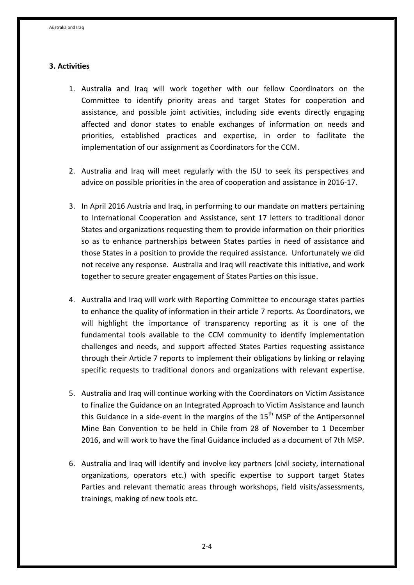## **3. Activities**

- 1. Australia and Iraq will work together with our fellow Coordinators on the Committee to identify priority areas and target States for cooperation and assistance, and possible joint activities, including side events directly engaging affected and donor states to enable exchanges of information on needs and priorities, established practices and expertise, in order to facilitate the implementation of our assignment as Coordinators for the CCM.
- 2. Australia and Iraq will meet regularly with the ISU to seek its perspectives and advice on possible priorities in the area of cooperation and assistance in 2016-17.
- 3. In April 2016 Austria and Iraq, in performing to our mandate on matters pertaining to International Cooperation and Assistance, sent 17 letters to traditional donor States and organizations requesting them to provide information on their priorities so as to enhance partnerships between States parties in need of assistance and those States in a position to provide the required assistance. Unfortunately we did not receive any response. Australia and Iraq will reactivate this initiative, and work together to secure greater engagement of States Parties on this issue.
- 4. Australia and Iraq will work with Reporting Committee to encourage states parties to enhance the quality of information in their article 7 reports. As Coordinators, we will highlight the importance of transparency reporting as it is one of the fundamental tools available to the CCM community to identify implementation challenges and needs, and support affected States Parties requesting assistance through their Article 7 reports to implement their obligations by linking or relaying specific requests to traditional donors and organizations with relevant expertise.
- 5. Australia and Iraq will continue working with the Coordinators on Victim Assistance to finalize the Guidance on an Integrated Approach to Victim Assistance and launch this Guidance in a side-event in the margins of the  $15<sup>th</sup>$  MSP of the Antipersonnel Mine Ban Convention to be held in Chile from 28 of November to 1 December 2016, and will work to have the final Guidance included as a document of 7th MSP.
- 6. Australia and Iraq will identify and involve key partners (civil society, international organizations, operators etc.) with specific expertise to support target States Parties and relevant thematic areas through workshops, field visits/assessments, trainings, making of new tools etc.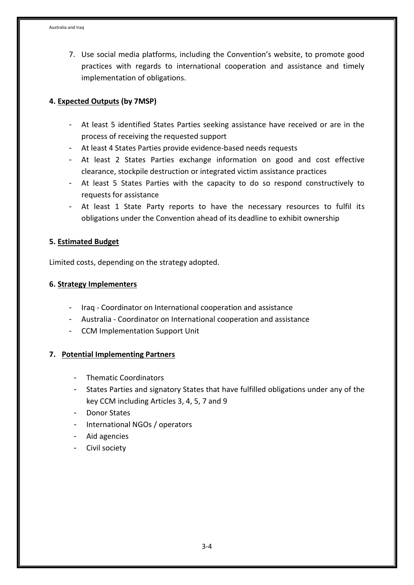7. Use social media platforms, including the Convention's website, to promote good practices with regards to international cooperation and assistance and timely implementation of obligations.

## **4. Expected Outputs (by 7MSP)**

- At least 5 identified States Parties seeking assistance have received or are in the process of receiving the requested support
- At least 4 States Parties provide evidence-based needs requests
- At least 2 States Parties exchange information on good and cost effective clearance, stockpile destruction or integrated victim assistance practices
- At least 5 States Parties with the capacity to do so respond constructively to requests for assistance
- At least 1 State Party reports to have the necessary resources to fulfil its obligations under the Convention ahead of its deadline to exhibit ownership

### **5. Estimated Budget**

Limited costs, depending on the strategy adopted.

### **6. Strategy Implementers**

- Iraq Coordinator on International cooperation and assistance
- Australia Coordinator on International cooperation and assistance
- CCM Implementation Support Unit

### **7. Potential Implementing Partners**

- Thematic Coordinators
- States Parties and signatory States that have fulfilled obligations under any of the key CCM including Articles 3, 4, 5, 7 and 9
- Donor States
- International NGOs / operators
- Aid agencies
- Civil society